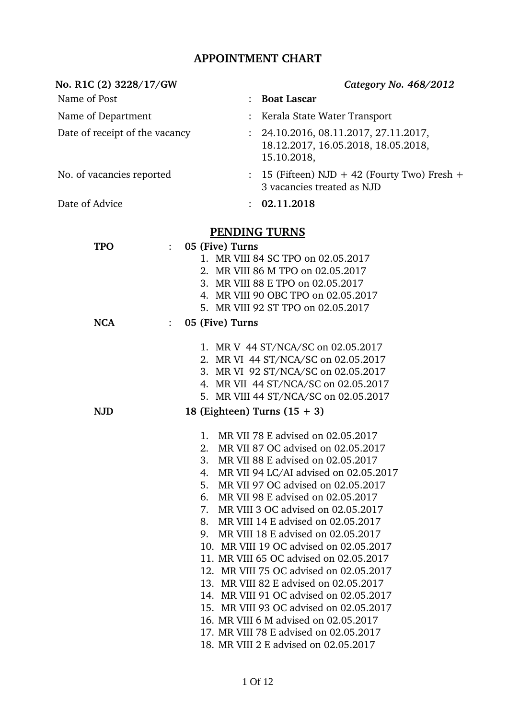## **APPOINTMENT CHART**

| No. R1C (2) 3228/17/GW             |             |                 | Category No. 468/2012                                                                     |
|------------------------------------|-------------|-----------------|-------------------------------------------------------------------------------------------|
| Name of Post                       |             | $\ddot{\cdot}$  | <b>Boat Lascar</b>                                                                        |
| Name of Department                 |             |                 | Kerala State Water Transport                                                              |
| Date of receipt of the vacancy     |             |                 | 24.10.2016, 08.11.2017, 27.11.2017,<br>18.12.2017, 16.05.2018, 18.05.2018,<br>15.10.2018, |
| No. of vacancies reported          |             | $\ddot{\cdot}$  | 15 (Fifteen) $NJD + 42$ (Fourty Two) Fresh +<br>3 vacancies treated as NJD                |
| Date of Advice                     |             |                 | : 02.11.2018                                                                              |
|                                    |             |                 | <b>PENDING TURNS</b>                                                                      |
| <b>TPO</b><br>$\ddot{\phantom{a}}$ |             | 05 (Five) Turns |                                                                                           |
|                                    |             |                 | 1. MR VIII 84 SC TPO on 02.05.2017                                                        |
|                                    |             |                 | 2. MR VIII 86 M TPO on 02.05.2017                                                         |
|                                    |             |                 | 3. MR VIII 88 E TPO on 02.05.2017                                                         |
|                                    |             |                 | 4. MR VIII 90 OBC TPO on 02.05.2017                                                       |
|                                    |             |                 | 5. MR VIII 92 ST TPO on 02.05.2017                                                        |
| <b>NCA</b><br>$\ddot{\cdot}$       |             | 05 (Five) Turns |                                                                                           |
|                                    |             |                 |                                                                                           |
|                                    |             |                 | 1. MR V 44 ST/NCA/SC on 02.05.2017                                                        |
|                                    |             |                 | 2. MR VI 44 ST/NCA/SC on 02.05.2017                                                       |
|                                    |             |                 | 3. MR VI 92 ST/NCA/SC on 02.05.2017                                                       |
|                                    |             |                 | 4. MR VII 44 ST/NCA/SC on 02.05.2017                                                      |
|                                    |             |                 | 5. MR VIII 44 ST/NCA/SC on 02.05.2017                                                     |
| <b>NJD</b>                         |             |                 | 18 (Eighteen) Turns $(15 + 3)$                                                            |
|                                    |             |                 |                                                                                           |
|                                    | $1_{\cdot}$ |                 | MR VII 78 E advised on 02.05.2017                                                         |
|                                    | 2.          |                 | MR VII 87 OC advised on 02.05.2017                                                        |
|                                    | 3.          |                 | MR VII 88 E advised on 02.05.2017                                                         |
|                                    | 4.          |                 | MR VII 94 LC/AI advised on 02.05.2017                                                     |
|                                    | 5.          |                 | MR VII 97 OC advised on 02.05.2017                                                        |
|                                    | 6.          |                 | MR VII 98 E advised on 02.05.2017                                                         |
|                                    | 7.          |                 | MR VIII 3 OC advised on 02.05.2017                                                        |
|                                    | 8.          |                 | MR VIII 14 E advised on 02.05.2017                                                        |
|                                    | 9.          |                 | MR VIII 18 E advised on 02.05.2017                                                        |
|                                    |             |                 | 10. MR VIII 19 OC advised on 02.05.2017                                                   |
|                                    |             |                 | 11. MR VIII 65 OC advised on 02.05.2017                                                   |
|                                    |             |                 | 12. MR VIII 75 OC advised on 02.05.2017                                                   |
|                                    |             |                 | 13. MR VIII 82 E advised on 02.05.2017                                                    |
|                                    |             |                 | 14. MR VIII 91 OC advised on 02.05.2017                                                   |
|                                    |             |                 | 15. MR VIII 93 OC advised on 02.05.2017                                                   |
|                                    |             |                 | 16. MR VIII 6 M advised on 02.05.2017                                                     |
|                                    |             |                 | 17. MR VIII 78 E advised on 02.05.2017                                                    |
|                                    |             |                 | 18. MR VIII 2 E advised on 02.05.2017                                                     |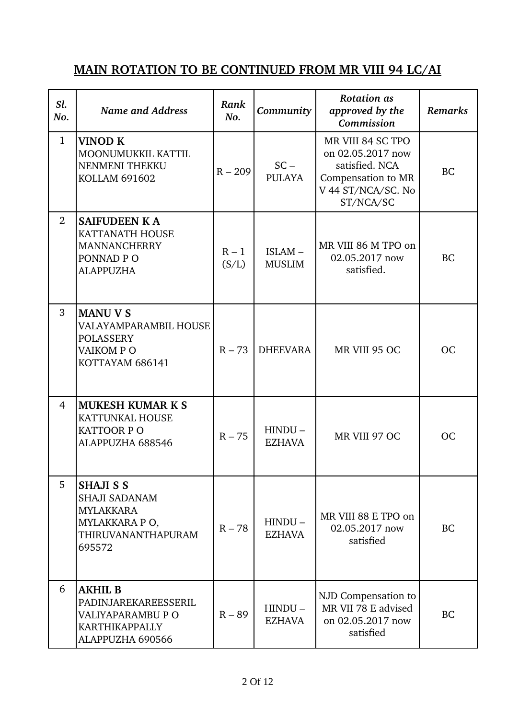# **MAIN ROTATION TO BE CONTINUED FROM MR VIII 94 LC/AI**

| Sl.<br>No.     | <b>Name and Address</b>                                                                                              | Rank<br>No.      | Community                  | <b>Rotation</b> as<br>approved by the<br>Commission                                                               | <b>Remarks</b> |
|----------------|----------------------------------------------------------------------------------------------------------------------|------------------|----------------------------|-------------------------------------------------------------------------------------------------------------------|----------------|
| $\mathbf{1}$   | <b>VINOD K</b><br>MOONUMUKKIL KATTIL<br>NENMENI THEKKU<br><b>KOLLAM 691602</b>                                       | $R - 209$        | $SC -$<br><b>PULAYA</b>    | MR VIII 84 SC TPO<br>on 02.05.2017 now<br>satisfied. NCA<br>Compensation to MR<br>V 44 ST/NCA/SC. No<br>ST/NCA/SC | <b>BC</b>      |
| $\overline{2}$ | <b>SAIFUDEEN KA</b><br><b>KATTANATH HOUSE</b><br><b>MANNANCHERRY</b><br>PONNAD PO<br><b>ALAPPUZHA</b>                | $R - 1$<br>(S/L) | ISLAM-<br><b>MUSLIM</b>    | MR VIII 86 M TPO on<br>02.05.2017 now<br>satisfied.                                                               | <b>BC</b>      |
| 3              | <b>MANU V S</b><br>VALAYAMPARAMBIL HOUSE<br><b>POLASSERY</b><br>VAIKOM PO<br>KOTTAYAM 686141                         | $R - 73$         | <b>DHEEVARA</b>            | MR VIII 95 OC                                                                                                     | <b>OC</b>      |
| $\overline{4}$ | <b>MUKESH KUMAR K S</b><br><b>KATTUNKAL HOUSE</b><br><b>KATTOOR PO</b><br>ALAPPUZHA 688546                           | $R - 75$         | $HINDU -$<br><b>EZHAVA</b> | MR VIII 97 OC                                                                                                     | OC             |
| 5              | <b>SHAJI S S</b><br><b>SHAJI SADANAM</b><br><b>MYLAKKARA</b><br>MYLAKKARA PO,<br><b>THIRUVANANTHAPURAM</b><br>695572 | $R - 78$         | $HINDU -$<br><b>EZHAVA</b> | MR VIII 88 E TPO on<br>02.05.2017 now<br>satisfied                                                                | <b>BC</b>      |
| 6              | <b>AKHIL B</b><br>PADINJAREKAREESSERIL<br>VALIYAPARAMBU P O<br><b>KARTHIKAPPALLY</b><br>ALAPPUZHA 690566             | $R - 89$         | HINDU-<br><b>EZHAVA</b>    | NJD Compensation to<br>MR VII 78 E advised<br>on 02.05.2017 now<br>satisfied                                      | <b>BC</b>      |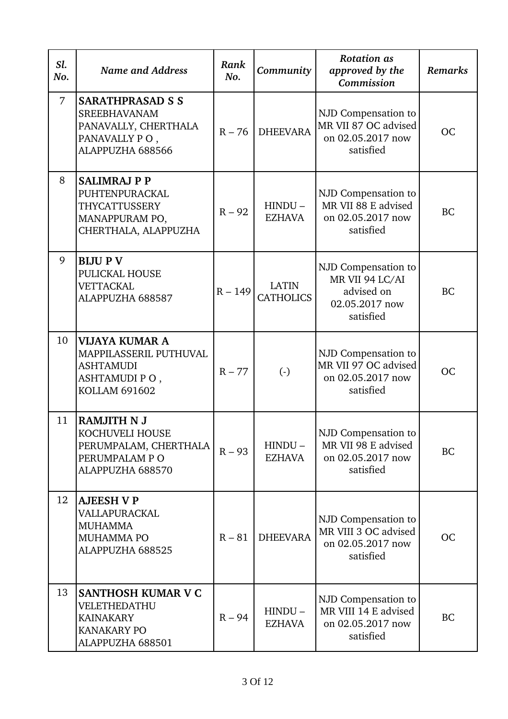| Sl.<br>No. | <b>Name and Address</b>                                                                                      | Rank<br>No. | Community                        | <b>Rotation</b> as<br>approved by the<br>Commission                                 | <b>Remarks</b> |
|------------|--------------------------------------------------------------------------------------------------------------|-------------|----------------------------------|-------------------------------------------------------------------------------------|----------------|
| 7          | <b>SARATHPRASAD S S</b><br><b>SREEBHAVANAM</b><br>PANAVALLY, CHERTHALA<br>PANAVALLY PO,<br>ALAPPUZHA 688566  | $R - 76$    | <b>DHEEVARA</b>                  | NJD Compensation to<br>MR VII 87 OC advised<br>on 02.05.2017 now<br>satisfied       | <b>OC</b>      |
| 8          | <b>SALIMRAJ P P</b><br>PUHTENPURACKAL<br>THYCATTUSSERY<br>MANAPPURAM PO,<br>CHERTHALA, ALAPPUZHA             | $R - 92$    | $HINDU -$<br><b>EZHAVA</b>       | NJD Compensation to<br>MR VII 88 E advised<br>on 02.05.2017 now<br>satisfied        | <b>BC</b>      |
| 9          | <b>BIJUPV</b><br>PULICKAL HOUSE<br><b>VETTACKAL</b><br>ALAPPUZHA 688587                                      | $R - 149$   | <b>LATIN</b><br><b>CATHOLICS</b> | NJD Compensation to<br>MR VII 94 LC/AI<br>advised on<br>02.05.2017 now<br>satisfied | <b>BC</b>      |
| 10         | <b>VIJAYA KUMAR A</b><br>MAPPILASSERIL PUTHUVAL<br><b>ASHTAMUDI</b><br>ASHTAMUDI PO,<br><b>KOLLAM 691602</b> | $R - 77$    | $\left( \cdot \right)$           | NJD Compensation to<br>MR VII 97 OC advised<br>on 02.05.2017 now<br>satisfied       | <b>OC</b>      |
| 11         | <b>RAMJITH N J</b><br>KOCHUVELI HOUSE<br>PERUMPALAM, CHERTHALA<br>PERUMPALAM PO<br>ALAPPUZHA 688570          | $R - 93$    | $HINDU -$<br><b>EZHAVA</b>       | NJD Compensation to<br>MR VII 98 E advised<br>on 02.05.2017 now<br>satisfied        | <b>BC</b>      |
| 12         | <b>AJEESH V P</b><br>VALLAPURACKAL<br><b>MUHAMMA</b><br><b>MUHAMMA PO</b><br>ALAPPUZHA 688525                | $R - 81$    | <b>DHEEVARA</b>                  | NJD Compensation to<br>MR VIII 3 OC advised<br>on 02.05.2017 now<br>satisfied       | <b>OC</b>      |
| 13         | SANTHOSH KUMAR V C<br>VELETHEDATHU<br><b>KAINAKARY</b><br><b>KANAKARY PO</b><br>ALAPPUZHA 688501             | $R - 94$    | $HINDU -$<br><b>EZHAVA</b>       | NJD Compensation to<br>MR VIII 14 E advised<br>on 02.05.2017 now<br>satisfied       | <b>BC</b>      |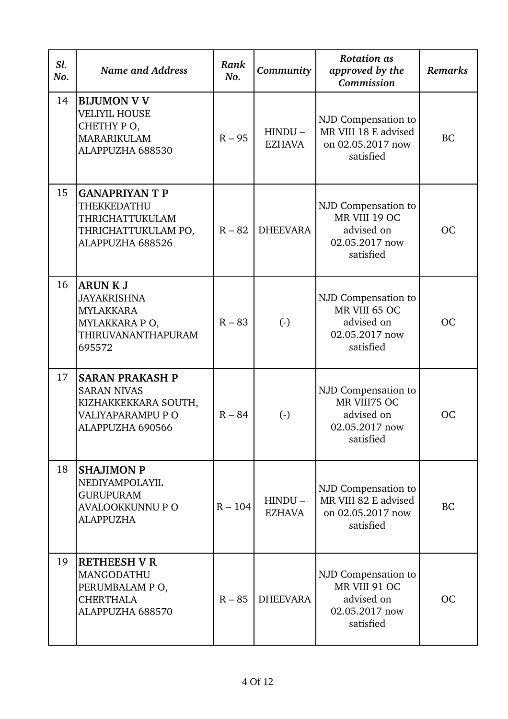| Sl.<br>No. | <b>Name and Address</b>                                                                                              | Rank<br>No. | Community                  | <b>Rotation</b> as<br>approved by the<br>Commission                               | <b>Remarks</b> |
|------------|----------------------------------------------------------------------------------------------------------------------|-------------|----------------------------|-----------------------------------------------------------------------------------|----------------|
| 14         | <b>BIJUMON V V</b><br><b>VELIYIL HOUSE</b><br>CHETHY PO,<br><b>MARARIKULAM</b><br>ALAPPUZHA 688530                   | $R - 95$    | $HINDU -$<br><b>EZHAVA</b> | NJD Compensation to<br>MR VIII 18 E advised<br>on 02.05.2017 now<br>satisfied     | BC             |
| 15         | <b>GANAPRIYAN T P</b><br>THEKKEDATHU<br>THRICHATTUKULAM<br>THRICHATTUKULAM PO,<br>ALAPPUZHA 688526                   | $R - 82$    | <b>DHEEVARA</b>            | NJD Compensation to<br>MR VIII 19 OC<br>advised on<br>02.05.2017 now<br>satisfied | OC             |
| 16         | <b>ARUN K J</b><br><b>JAYAKRISHNA</b><br><b>MYLAKKARA</b><br>MYLAKKARA PO,<br>THIRUVANANTHAPURAM<br>695572           | $R - 83$    | $\left( -\right)$          | NJD Compensation to<br>MR VIII 65 OC<br>advised on<br>02.05.2017 now<br>satisfied | <b>OC</b>      |
| 17         | <b>SARAN PRAKASH P</b><br><b>SARAN NIVAS</b><br>KIZHAKKEKKARA SOUTH,<br><b>VALIYAPARAMPU P O</b><br>ALAPPUZHA 690566 | $R - 84$    | $\left( \cdot \right)$     | NJD Compensation to<br>MR VIII75 OC<br>advised on<br>02.05.2017 now<br>satisfied  | OC             |
| 18         | <b>SHAJIMON P</b><br>NEDIYAMPOLAYIL<br><b>GURUPURAM</b><br><b>AVALOOKKUNNU P O</b><br><b>ALAPPUZHA</b>               | $R - 104$   | $HINDU -$<br><b>EZHAVA</b> | NJD Compensation to<br>MR VIII 82 E advised<br>on 02.05.2017 now<br>satisfied     | <b>BC</b>      |
| 19         | <b>RETHEESH V R</b><br>MANGODATHU<br>PERUMBALAM PO,<br><b>CHERTHALA</b><br>ALAPPUZHA 688570                          | $R - 85$    | <b>DHEEVARA</b>            | NJD Compensation to<br>MR VIII 91 OC<br>advised on<br>02.05.2017 now<br>satisfied | <b>OC</b>      |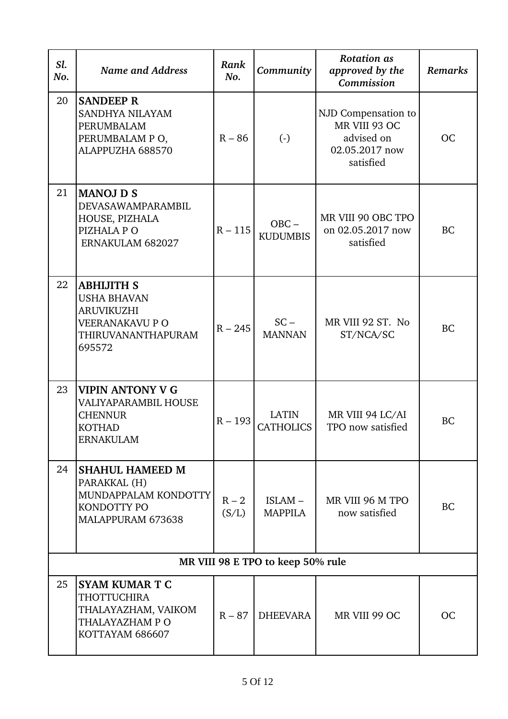| Sl.<br>No. | <b>Name and Address</b>                                                                                                | Rank<br>No.      | Community                         | <b>Rotation</b> as<br>approved by the<br>Commission                               | <b>Remarks</b> |
|------------|------------------------------------------------------------------------------------------------------------------------|------------------|-----------------------------------|-----------------------------------------------------------------------------------|----------------|
| 20         | <b>SANDEEP R</b><br>SANDHYA NILAYAM<br>PERUMBALAM<br>PERUMBALAM PO,<br>ALAPPUZHA 688570                                | $R - 86$         | $\left( -\right)$                 | NJD Compensation to<br>MR VIII 93 OC<br>advised on<br>02.05.2017 now<br>satisfied | <b>OC</b>      |
| 21         | <b>MANOJ D S</b><br>DEVASAWAMPARAMBIL<br>HOUSE, PIZHALA<br>PIZHALA PO<br>ERNAKULAM 682027                              | $R - 115$        | $OBC -$<br><b>KUDUMBIS</b>        | MR VIII 90 OBC TPO<br>on 02.05.2017 now<br>satisfied                              | <b>BC</b>      |
| 22         | <b>ABHIJITH S</b><br><b>USHA BHAVAN</b><br><b>ARUVIKUZHI</b><br><b>VEERANAKAVU P O</b><br>THIRUVANANTHAPURAM<br>695572 | $R - 245$        | $SC -$<br><b>MANNAN</b>           | MR VIII 92 ST. No<br>ST/NCA/SC                                                    | <b>BC</b>      |
| 23         | <b>VIPIN ANTONY V G</b><br>VALIYAPARAMBIL HOUSE<br><b>CHENNUR</b><br><b>KOTHAD</b><br><b>ERNAKULAM</b>                 | $R - 193$        | <b>LATIN</b><br><b>CATHOLICS</b>  | MR VIII 94 LC/AI<br>TPO now satisfied                                             | <b>BC</b>      |
| 24         | <b>SHAHUL HAMEED M</b><br>PARAKKAL (H)<br>MUNDAPPALAM KONDOTTY<br>KONDOTTY PO<br>MALAPPURAM 673638                     | $R - 2$<br>(S/L) | ISLAM-<br><b>MAPPILA</b>          | MR VIII 96 M TPO<br>now satisfied                                                 | BC             |
|            |                                                                                                                        |                  | MR VIII 98 E TPO to keep 50% rule |                                                                                   |                |
| 25         | <b>SYAM KUMAR T C</b><br><b>THOTTUCHIRA</b><br>THALAYAZHAM, VAIKOM<br>THALAYAZHAM P O<br>KOTTAYAM 686607               | $R - 87$         | <b>DHEEVARA</b>                   | MR VIII 99 OC                                                                     | <b>OC</b>      |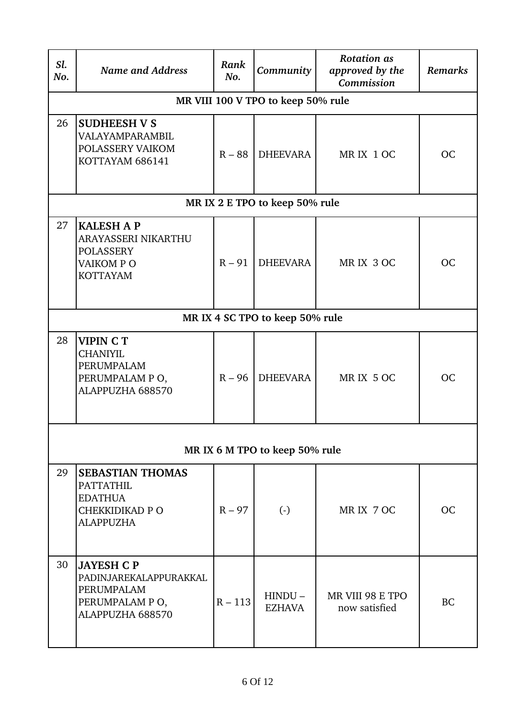| Sl.<br>No. | <b>Name and Address</b>                                                                              | Rank<br>No. | Community                          | <b>Rotation as</b><br>approved by the<br>Commission | Remarks   |
|------------|------------------------------------------------------------------------------------------------------|-------------|------------------------------------|-----------------------------------------------------|-----------|
|            |                                                                                                      |             | MR VIII 100 V TPO to keep 50% rule |                                                     |           |
| 26         | <b>SUDHEESH V S</b><br>VALAYAMPARAMBIL<br>POLASSERY VAIKOM<br>KOTTAYAM 686141                        | $R - 88$    | <b>DHEEVARA</b>                    | MRIX 1 OC                                           | <b>OC</b> |
|            |                                                                                                      |             | MR IX 2 E TPO to keep 50% rule     |                                                     |           |
| 27         | <b>KALESH A P</b><br>ARAYASSERI NIKARTHU<br><b>POLASSERY</b><br>VAIKOM PO<br><b>KOTTAYAM</b>         | $R - 91$    | <b>DHEEVARA</b>                    | MRIX 3 OC                                           | <b>OC</b> |
|            |                                                                                                      |             | MR IX 4 SC TPO to keep 50% rule    |                                                     |           |
| 28         | <b>VIPIN CT</b><br><b>CHANIYIL</b><br>PERUMPALAM<br>PERUMPALAM PO,<br>ALAPPUZHA 688570               | $R - 96$    | <b>DHEEVARA</b>                    | MRIX 5 OC                                           | <b>OC</b> |
|            |                                                                                                      |             | MR IX 6 M TPO to keep 50% rule     |                                                     |           |
| 29         | <b>SEBASTIAN THOMAS</b><br><b>PATTATHIL</b><br><b>EDATHUA</b><br>CHEKKIDIKAD P O<br><b>ALAPPUZHA</b> | $R - 97$    | $\left( -\right)$                  | MRIX 7 OC                                           | ОC        |
| 30         | <b>JAYESH C P</b><br>PADINJAREKALAPPURAKKAL<br>PERUMPALAM<br>PERUMPALAM PO,<br>ALAPPUZHA 688570      | $R - 113$   | $HINDU -$<br><b>EZHAVA</b>         | MR VIII 98 E TPO<br>now satisfied                   | <b>BC</b> |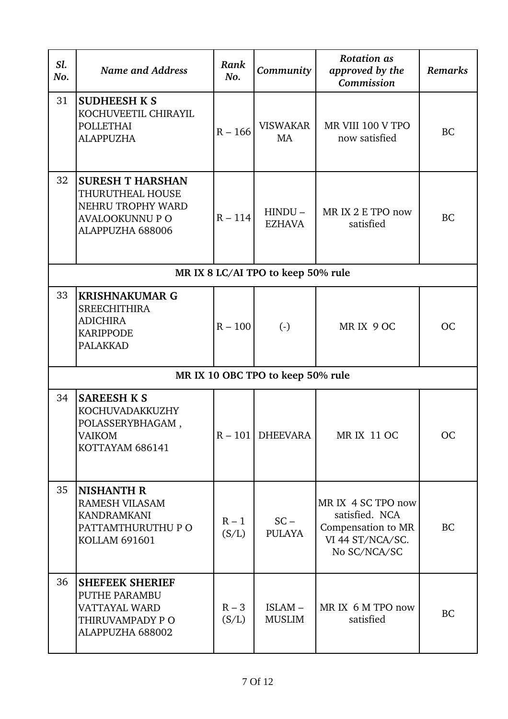| Sl.<br>No. | <b>Name and Address</b>                                                                                        | Rank<br>No.      | Community                          | <b>Rotation</b> as<br>approved by the<br>Commission                                            | Remarks   |
|------------|----------------------------------------------------------------------------------------------------------------|------------------|------------------------------------|------------------------------------------------------------------------------------------------|-----------|
| 31         | <b>SUDHEESH K S</b><br>KOCHUVEETIL CHIRAYIL<br><b>POLLETHAI</b><br><b>ALAPPUZHA</b>                            | $R - 166$        | <b>VISWAKAR</b><br>MA              | MR VIII 100 V TPO<br>now satisfied                                                             | BC        |
| 32         | <b>SURESH T HARSHAN</b><br>THURUTHEAL HOUSE<br>NEHRU TROPHY WARD<br><b>AVALOOKUNNU P O</b><br>ALAPPUZHA 688006 | $R - 114$        | $HINDU -$<br><b>EZHAVA</b>         | MR IX 2 E TPO now<br>satisfied                                                                 | BC        |
|            |                                                                                                                |                  | MR IX 8 LC/AI TPO to keep 50% rule |                                                                                                |           |
| 33         | <b>KRISHNAKUMAR G</b><br><b>SREECHITHIRA</b><br><b>ADICHIRA</b><br><b>KARIPPODE</b><br><b>PALAKKAD</b>         | $R - 100$        | $\left( \cdot \right)$             | MRIX 9 OC                                                                                      | <b>OC</b> |
|            |                                                                                                                |                  | MR IX 10 OBC TPO to keep 50% rule  |                                                                                                |           |
| 34         | <b>SAREESH K S</b><br>KOCHUVADAKKUZHY<br>POLASSERYBHAGAM,<br><b>VAIKOM</b><br>KOTTAYAM 686141                  |                  | $R - 101$ DHEEVARA                 | <b>MR IX 11 OC</b>                                                                             | <b>OC</b> |
| 35         | <b>NISHANTH R</b><br><b>RAMESH VILASAM</b><br><b>KANDRAMKANI</b><br>PATTAMTHURUTHU P O<br><b>KOLLAM 691601</b> | $R - 1$<br>(S/L) | $SC -$<br><b>PULAYA</b>            | MR IX 4 SC TPO now<br>satisfied. NCA<br>Compensation to MR<br>VI 44 ST/NCA/SC.<br>No SC/NCA/SC | <b>BC</b> |
| 36         | <b>SHEFEEK SHERIEF</b><br>PUTHE PARAMBU<br><b>VATTAYAL WARD</b><br>THIRUVAMPADY PO<br>ALAPPUZHA 688002         | $R - 3$<br>(S/L) | ISLAM-<br><b>MUSLIM</b>            | MR IX 6 M TPO now<br>satisfied                                                                 | <b>BC</b> |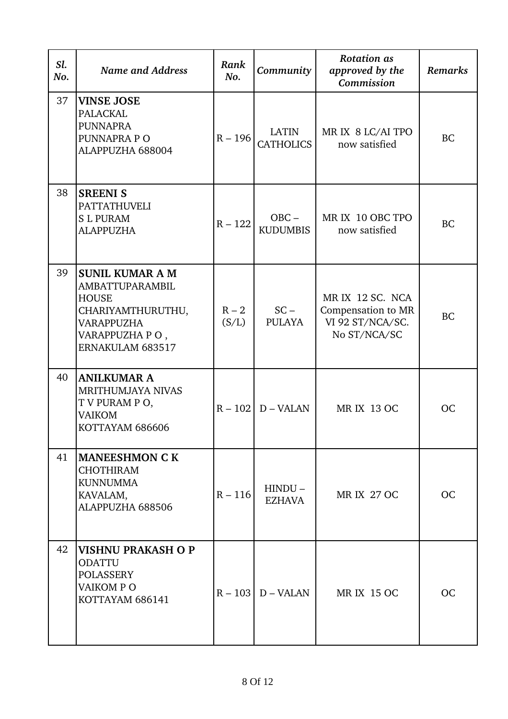| Sl.<br>No. | <b>Name and Address</b>                                                                                                                          | Rank<br>No.      | Community                        | <b>Rotation</b> as<br>approved by the<br>Commission                        | <b>Remarks</b> |
|------------|--------------------------------------------------------------------------------------------------------------------------------------------------|------------------|----------------------------------|----------------------------------------------------------------------------|----------------|
| 37         | <b>VINSE JOSE</b><br><b>PALACKAL</b><br><b>PUNNAPRA</b><br>PUNNAPRA PO<br>ALAPPUZHA 688004                                                       | $R - 196$        | <b>LATIN</b><br><b>CATHOLICS</b> | MR IX 8 LC/AI TPO<br>now satisfied                                         | <b>BC</b>      |
| 38         | <b>SREENI S</b><br><b>PATTATHUVELI</b><br><b>SL PURAM</b><br><b>ALAPPUZHA</b>                                                                    | $R - 122$        | $OBC -$<br><b>KUDUMBIS</b>       | MR IX 10 OBC TPO<br>now satisfied                                          | <b>BC</b>      |
| 39         | <b>SUNIL KUMAR A M</b><br><b>AMBATTUPARAMBIL</b><br><b>HOUSE</b><br>CHARIYAMTHURUTHU,<br><b>VARAPPUZHA</b><br>VARAPPUZHA PO,<br>ERNAKULAM 683517 | $R - 2$<br>(S/L) | $SC -$<br><b>PULAYA</b>          | MR IX 12 SC. NCA<br>Compensation to MR<br>VI 92 ST/NCA/SC.<br>No ST/NCA/SC | <b>BC</b>      |
| 40         | <b>ANILKUMAR A</b><br><b>MRITHUMJAYA NIVAS</b><br>T V PURAM P O,<br><b>VAIKOM</b><br>KOTTAYAM 686606                                             |                  | $R - 102$ D – VALAN              | <b>MR IX 13 OC</b>                                                         | OC             |
| 41         | <b>MANEESHMON C K</b><br><b>CHOTHIRAM</b><br><b>KUNNUMMA</b><br>KAVALAM,<br>ALAPPUZHA 688506                                                     | $R - 116$        | $HINDU -$<br><b>EZHAVA</b>       | <b>MR IX 27 OC</b>                                                         | <b>OC</b>      |
| 42         | VISHNU PRAKASH O P<br><b>ODATTU</b><br><b>POLASSERY</b><br>VAIKOM PO<br>KOTTAYAM 686141                                                          |                  | $R - 103$ D – VALAN              | <b>MR IX 15 OC</b>                                                         | OC             |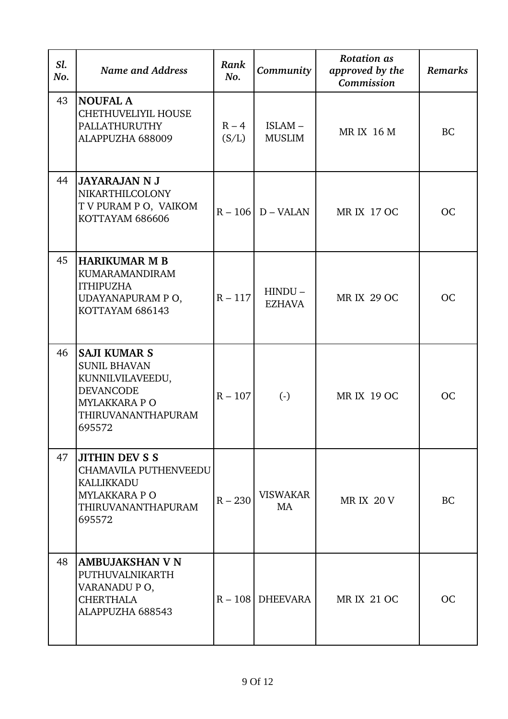| Sl.<br>No. | <b>Name and Address</b>                                                                                                             | Rank<br>No.      | Community                  | <b>Rotation</b> as<br>approved by the<br>Commission | <b>Remarks</b> |
|------------|-------------------------------------------------------------------------------------------------------------------------------------|------------------|----------------------------|-----------------------------------------------------|----------------|
| 43         | <b>NOUFAL A</b><br><b>CHETHUVELIYIL HOUSE</b><br>PALLATHURUTHY<br>ALAPPUZHA 688009                                                  | $R - 4$<br>(S/L) | ISLAM-<br><b>MUSLIM</b>    | <b>MR IX 16 M</b>                                   | <b>BC</b>      |
| 44         | <b>JAYARAJAN N J</b><br>NIKARTHILCOLONY<br>T V PURAM P O, VAIKOM<br>KOTTAYAM 686606                                                 |                  | $R - 106$ D – VALAN        | <b>MR IX 17 OC</b>                                  | <b>OC</b>      |
| 45         | HARIKUMAR M B<br><b>KUMARAMANDIRAM</b><br><b>ITHIPUZHA</b><br>UDAYANAPURAM PO,<br>KOTTAYAM 686143                                   | $R - 117$        | $HINDU -$<br><b>EZHAVA</b> | <b>MR IX 29 OC</b>                                  | <b>OC</b>      |
| 46         | <b>SAJI KUMAR S</b><br><b>SUNIL BHAVAN</b><br>KUNNILVILAVEEDU,<br><b>DEVANCODE</b><br>MYLAKKARA P O<br>THIRUVANANTHAPURAM<br>695572 | $R - 107$        | $\left( -\right)$          | <b>MR IX 19 OC</b>                                  | <b>OC</b>      |
| 47         | <b>JITHIN DEV S S</b><br><b>CHAMAVILA PUTHENVEEDU</b><br>KALLIKKADU<br><b>MYLAKKARA P O</b><br>THIRUVANANTHAPURAM<br>695572         | $R - 230$        | <b>VISWAKAR</b><br>MA      | <b>MR IX 20 V</b>                                   | <b>BC</b>      |
| 48         | <b>AMBUJAKSHAN V N</b><br>PUTHUVALNIKARTH<br>VARANADU PO,<br><b>CHERTHALA</b><br>ALAPPUZHA 688543                                   |                  | $R - 108$ DHEEVARA         | <b>MR IX 21 OC</b>                                  | <b>OC</b>      |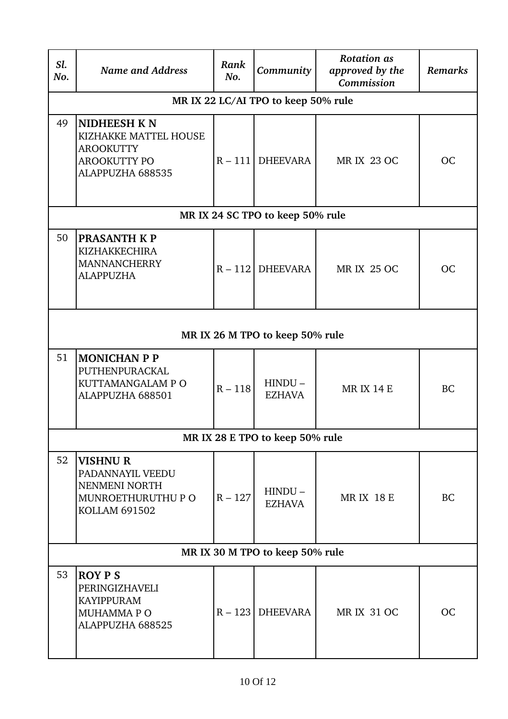| Sl.<br>No. | <b>Name and Address</b>                                                                                    | Rank<br>No. | Community                           | <b>Rotation</b> as<br>approved by the<br>Commission | <b>Remarks</b> |
|------------|------------------------------------------------------------------------------------------------------------|-------------|-------------------------------------|-----------------------------------------------------|----------------|
|            |                                                                                                            |             | MR IX 22 LC/AI TPO to keep 50% rule |                                                     |                |
| 49         | <b>NIDHEESH KN</b><br>KIZHAKKE MATTEL HOUSE<br><b>AROOKUTTY</b><br><b>AROOKUTTY PO</b><br>ALAPPUZHA 688535 |             | $R - 111$ DHEEVARA                  | <b>MR IX 23 OC</b>                                  | <b>OC</b>      |
|            |                                                                                                            |             | MR IX 24 SC TPO to keep 50% rule    |                                                     |                |
| 50         | <b>PRASANTH K P</b><br><b>KIZHAKKECHIRA</b><br><b>MANNANCHERRY</b><br><b>ALAPPUZHA</b>                     |             | $R - 112$ DHEEVARA                  | <b>MR IX 25 OC</b>                                  | <b>OC</b>      |
|            |                                                                                                            |             | MR IX 26 M TPO to keep 50% rule     |                                                     |                |
| 51         | <b>MONICHAN P P</b><br>PUTHENPURACKAL<br>KUTTAMANGALAM P O<br>ALAPPUZHA 688501                             | $R - 118$   | $HINDU -$<br><b>EZHAVA</b>          | <b>MR IX 14 E</b>                                   | <b>BC</b>      |
|            |                                                                                                            |             | MR IX 28 E TPO to keep 50% rule     |                                                     |                |
| 52         | <b>VISHNUR</b><br>PADANNAYIL VEEDU<br>NENMENI NORTH<br>MUNROETHURUTHU P O<br><b>KOLLAM 691502</b>          | $R - 127$   | $HINDU -$<br><b>EZHAVA</b>          | <b>MRIX 18 E</b>                                    | <b>BC</b>      |
|            |                                                                                                            |             | MR IX 30 M TPO to keep 50% rule     |                                                     |                |
| 53         | <b>ROY P S</b><br>PERINGIZHAVELI<br><b>KAYIPPURAM</b><br>MUHAMMA P O<br>ALAPPUZHA 688525                   |             | $R - 123$ DHEEVARA                  | <b>MR IX 31 OC</b>                                  | <b>OC</b>      |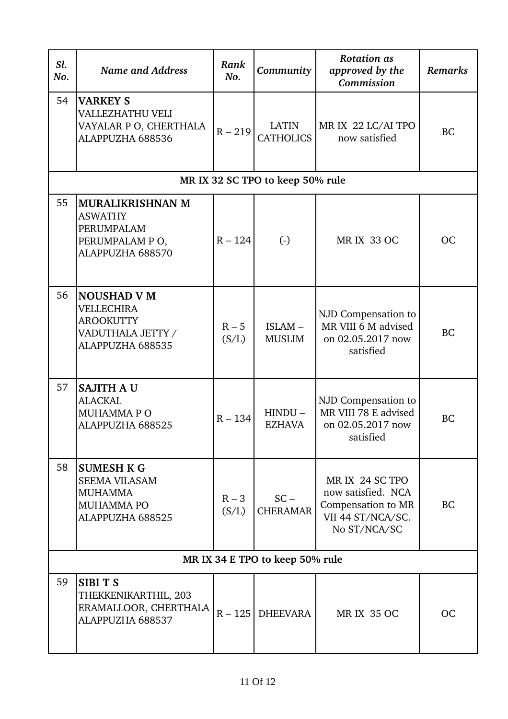| Sl.<br>No. | <b>Name and Address</b>                                                                              | Rank<br>No.      | Community                        | <b>Rotation</b> as<br>approved by the<br>Commission                                              | <b>Remarks</b> |
|------------|------------------------------------------------------------------------------------------------------|------------------|----------------------------------|--------------------------------------------------------------------------------------------------|----------------|
| 54         | <b>VARKEY S</b><br><b>VALLEZHATHU VELI</b><br>VAYALAR P O, CHERTHALA<br>ALAPPUZHA 688536             | $R - 219$        | <b>LATIN</b><br><b>CATHOLICS</b> | MR IX 22 LC/AI TPO<br>now satisfied                                                              | <b>BC</b>      |
|            |                                                                                                      |                  | MR IX 32 SC TPO to keep 50% rule |                                                                                                  |                |
| 55         | <b>MURALIKRISHNAN M</b><br><b>ASWATHY</b><br>PERUMPALAM<br>PERUMPALAM PO,<br>ALAPPUZHA 688570        | $R - 124$        | $\left( \cdot \right)$           | <b>MR IX 33 OC</b>                                                                               | OC             |
| 56         | <b>NOUSHAD V M</b><br><b>VELLECHIRA</b><br><b>AROOKUTTY</b><br>VADUTHALA JETTY /<br>ALAPPUZHA 688535 | $R - 5$<br>(S/L) | ISLAM-<br><b>MUSLIM</b>          | NJD Compensation to<br>MR VIII 6 M advised<br>on 02.05.2017 now<br>satisfied                     | <b>BC</b>      |
| 57         | <b>SAJITH A U</b><br><b>ALACKAL</b><br><b>MUHAMMAPO</b><br>ALAPPUZHA 688525                          | $R - 134$        | $HINDU -$<br><b>EZHAVA</b>       | NJD Compensation to<br>MR VIII 78 E advised<br>on 02.05.2017 now<br>satisfied                    | <b>BC</b>      |
| 58         | <b>SUMESH K G</b><br><b>SEEMA VILASAM</b><br><b>MUHAMMA</b><br><b>MUHAMMA PO</b><br>ALAPPUZHA 688525 | $R - 3$<br>(S/L) | $SC -$<br><b>CHERAMAR</b>        | MR IX 24 SC TPO<br>now satisfied. NCA<br>Compensation to MR<br>VII 44 ST/NCA/SC.<br>No ST/NCA/SC | <b>BC</b>      |
|            |                                                                                                      |                  | MR IX 34 E TPO to keep 50% rule  |                                                                                                  |                |
| 59         | <b>SIBITS</b><br>THEKKENIKARTHIL, 203<br>ERAMALLOOR, CHERTHALA<br>ALAPPUZHA 688537                   |                  | $R - 125$ DHEEVARA               | <b>MR IX 35 OC</b>                                                                               | <b>OC</b>      |